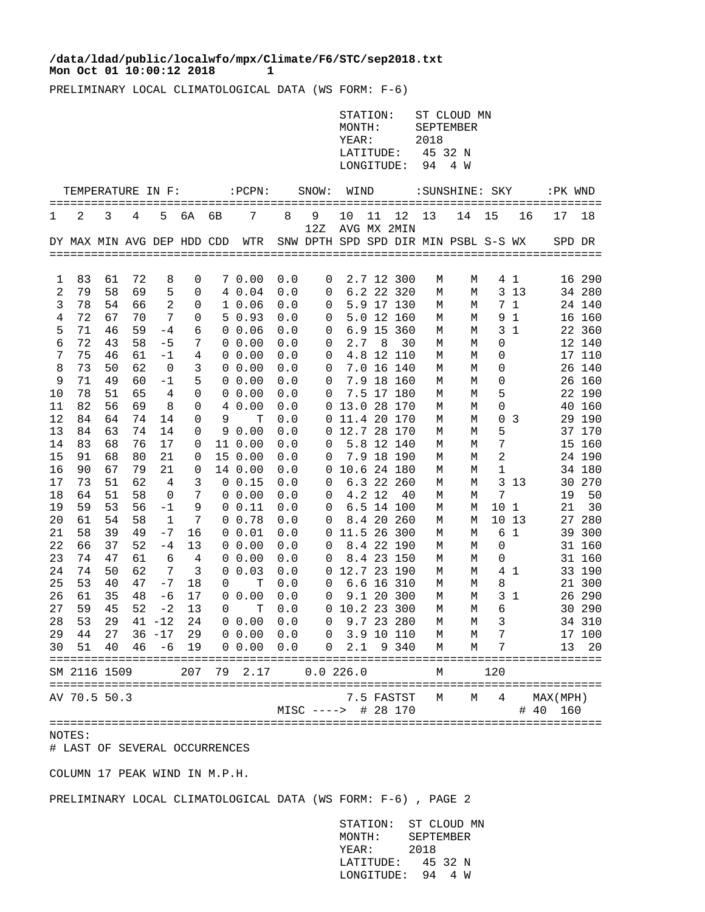## **Mon Oct 01 10:00:12 2018 1 /data/ldad/public/localwfo/mpx/Climate/F6/STC/sep2018.txt**

PRELIMINARY LOCAL CLIMATOLOGICAL DATA (WS FORM: F-6)

| $:$ $PCPN:$<br>SNOW:<br>TEMPERATURE IN F:<br>WIND<br>: SUNSHINE: SKY<br>7<br>12<br>2<br>3<br>5<br>6A<br>8<br>- 9<br>10<br>11<br>13<br>14<br>15<br>16<br>17<br>1<br>4<br>6В<br>12Z<br>AVG MX 2MIN<br>SNW DPTH SPD SPD DIR MIN PSBL S-S WX<br>DY MAX MIN AVG DEP HDD CDD WTR<br>SPD DR<br>72<br>83<br>61<br>8<br>0<br>7 0.00<br>0.0<br>2.7 12 300<br>41<br>16 290<br>0<br>М<br>М<br>ı<br>6.2 22 320<br>2<br>79<br>58<br>69<br>5<br>4 0.04<br>0.0<br>3 1 3<br>34 280<br>$\mathbf 0$<br>0<br>М<br>М<br>78<br>54<br>$\overline{2}$<br>5.9 17 130<br>66<br>10.06<br>0.0<br>7 1<br>24 140<br>3<br>0<br>0<br>М<br>М<br>72<br>7<br>67<br>70<br>50.93<br>0.0<br>5.0 12 160<br>9 1<br>16 160<br>4<br>0<br>0<br>М<br>М<br>71<br>5<br>46<br>59<br>$-4$<br>6<br>6.9 15 360<br>3 <sub>1</sub><br>22 360<br>0 0.06<br>0.0<br>0<br>М<br>М<br>72<br>7<br>2.7<br>6<br>43<br>58<br>$-5$<br>0 0.00<br>8 <sup>8</sup><br>12 140<br>0.0<br>30<br>0<br>0<br>М<br>М<br>75<br>7<br>46<br>61<br>$-1$<br>4<br>4.8 12 110<br>17 110<br>$0\;\;0.00$<br>0.0<br>0<br>М<br>0<br>М<br>$\mathbf{3}$<br>73<br>50<br>62<br>$\overline{\phantom{0}}$<br>0 0.00<br>7.0 16 140<br>26 140<br>8<br>0.0<br>0<br>М<br>0<br>М<br>71<br>5<br>7.9 18 160<br>26 160<br>9<br>49<br>60<br>$-1$<br>$0\;\;0.00$<br>0.0<br>0<br>М<br>0<br>М<br>78<br>51<br>7.5 17 180<br>22 190<br>10<br>65<br>4<br>0<br>$0\;\;0.00$<br>0.0<br>0<br>5<br>М<br>М<br>11<br>82<br>56<br>69<br>8<br>0 13.0 28 170<br>40 160<br>0<br>4 0.00<br>0.0<br>0<br>М<br>М<br>12<br>84<br>64<br>74<br>14<br>0 11.4 20 170<br>29 190<br>9<br>т<br>0.0<br>0 <sup>3</sup><br>0<br>М<br>М<br>0 12.7 28 170<br>5<br>37 170<br>13<br>84<br>63<br>74<br>14<br>90.00<br>0.0<br>0<br>М<br>М<br>5.8 12 140<br>15 160<br>14<br>83<br>68<br>76<br>17<br>0.0<br>7<br>0<br>11 0.00<br>0<br>М<br>М<br>15<br>7.9 18 190<br>$\sqrt{2}$<br>24 190<br>91<br>68<br>80<br>21<br>15 0.00<br>0.0<br>0<br>0<br>М<br>М<br>16<br>90<br>67<br>79<br>21<br>0 10.6 24 180<br>34 180<br>0<br>14 0.00<br>0.0<br>1<br>М<br>М<br>17<br>73<br>51<br>62<br>3<br>0 0.15<br>6.3 22 260<br>3 1 3<br>30 270<br>4<br>0.0<br>0<br>М<br>М<br>7<br>4.2 12<br>7<br>18<br>64<br>51<br>58<br>40<br>19<br>$0\;\;0.00$<br>0.0<br>0<br>0<br>М<br>М<br>19<br>59<br>53<br>56<br>9<br>6.5 14 100<br>10 <sub>1</sub><br>21<br>$-1$<br>0 0.11<br>0.0<br>0<br>М<br>М<br>20<br>61<br>54<br>58<br>$\mathbf{1}$<br>7<br>0 0.78<br>0.0<br>8.4 20 260<br>10 13<br>27 280<br>0<br>М<br>М<br>39<br>0 11.5 26 300<br>21<br>58<br>49<br>$-7$<br>16<br>6 1<br>39 300<br>0 0.01<br>0.0<br>М<br>М<br>22<br>37<br>52<br>13<br>8.4 22 190<br>31 160<br>66<br>$-4$<br>$0\;\;0.00$<br>0.0<br>0<br>0<br>М<br>М<br>23<br>74<br>47<br>61<br>8.4 23 150<br>31 160<br>6<br>$\overline{4}$<br>$0\;\;0.00$<br>0.0<br>0<br>М<br>М<br>0<br>62<br>24<br>74<br>50<br>7<br>3<br>0 0.03<br>0 12.7 23 190<br>33 190<br>0.0<br>41<br>М<br>М<br>25<br>53<br>40<br>47<br>$-7$<br>18<br>0.0<br>6.6 16 310<br>8<br>21 300<br>Т<br>$\mathbf 0$<br>0<br>М<br>М<br>9.1 20 300<br>26 290<br>26<br>61<br>35<br>48<br>$-6$<br>17<br>0 0.00<br>0.0<br>3 <sub>1</sub><br>0<br>М<br>М<br>27<br>59<br>45<br>52<br>13<br>0 10.2 23 300<br>6<br>30 290<br>$-2$<br>0<br>Т<br>0.0<br>М<br>М<br>53<br>29<br>24<br>0 0.00 0.0 0 9.7 23 280<br>3 <sup>7</sup><br>28<br>$41 - 12$<br>34 310<br>M<br>M<br>29 44 27 36 -17 29 0 0.00 0.0 0 3.9 10 110<br>$\overline{7}$<br>17 100<br>M M<br>30 51 40 46 -6 19 0 0.00 0.0 0 2.1 9 340<br>M 7<br>М<br>13 20<br>SM 2116 1509<br>207 79 2.17 0.0 226.0<br>120<br>M<br>AV 70.5 50.3<br>7.5 FASTST<br>M 4<br>М<br>MAX (MPH)<br>MISC ----> # 28 170<br># 40<br>160 |  |  |  |  |  |  |  |  |  | STATION:<br>MONTH:<br>YEAR:<br>LATITUDE:<br>LONGITUDE: |  |  | 2018<br>45 32 N<br>94 | ST CLOUD MN<br>SEPTEMBER<br>4 W |  |  |    |
|------------------------------------------------------------------------------------------------------------------------------------------------------------------------------------------------------------------------------------------------------------------------------------------------------------------------------------------------------------------------------------------------------------------------------------------------------------------------------------------------------------------------------------------------------------------------------------------------------------------------------------------------------------------------------------------------------------------------------------------------------------------------------------------------------------------------------------------------------------------------------------------------------------------------------------------------------------------------------------------------------------------------------------------------------------------------------------------------------------------------------------------------------------------------------------------------------------------------------------------------------------------------------------------------------------------------------------------------------------------------------------------------------------------------------------------------------------------------------------------------------------------------------------------------------------------------------------------------------------------------------------------------------------------------------------------------------------------------------------------------------------------------------------------------------------------------------------------------------------------------------------------------------------------------------------------------------------------------------------------------------------------------------------------------------------------------------------------------------------------------------------------------------------------------------------------------------------------------------------------------------------------------------------------------------------------------------------------------------------------------------------------------------------------------------------------------------------------------------------------------------------------------------------------------------------------------------------------------------------------------------------------------------------------------------------------------------------------------------------------------------------------------------------------------------------------------------------------------------------------------------------------------------------------------------------------------------------------------------------------------------------------------------------------------------------------------------------------------------------------------------------------------------------------------------------------------------------------------------------------------------------------------------------------------------------------------------------------------------------------------------------------------------------------------------------------------------------------------------------------------------------------------------------------------------------------------------------------------------------|--|--|--|--|--|--|--|--|--|--------------------------------------------------------|--|--|-----------------------|---------------------------------|--|--|----|
|                                                                                                                                                                                                                                                                                                                                                                                                                                                                                                                                                                                                                                                                                                                                                                                                                                                                                                                                                                                                                                                                                                                                                                                                                                                                                                                                                                                                                                                                                                                                                                                                                                                                                                                                                                                                                                                                                                                                                                                                                                                                                                                                                                                                                                                                                                                                                                                                                                                                                                                                                                                                                                                                                                                                                                                                                                                                                                                                                                                                                                                                                                                                                                                                                                                                                                                                                                                                                                                                                                                                                                                                            |  |  |  |  |  |  |  |  |  |                                                        |  |  |                       | :PK WND                         |  |  |    |
|                                                                                                                                                                                                                                                                                                                                                                                                                                                                                                                                                                                                                                                                                                                                                                                                                                                                                                                                                                                                                                                                                                                                                                                                                                                                                                                                                                                                                                                                                                                                                                                                                                                                                                                                                                                                                                                                                                                                                                                                                                                                                                                                                                                                                                                                                                                                                                                                                                                                                                                                                                                                                                                                                                                                                                                                                                                                                                                                                                                                                                                                                                                                                                                                                                                                                                                                                                                                                                                                                                                                                                                                            |  |  |  |  |  |  |  |  |  |                                                        |  |  |                       |                                 |  |  | 18 |
|                                                                                                                                                                                                                                                                                                                                                                                                                                                                                                                                                                                                                                                                                                                                                                                                                                                                                                                                                                                                                                                                                                                                                                                                                                                                                                                                                                                                                                                                                                                                                                                                                                                                                                                                                                                                                                                                                                                                                                                                                                                                                                                                                                                                                                                                                                                                                                                                                                                                                                                                                                                                                                                                                                                                                                                                                                                                                                                                                                                                                                                                                                                                                                                                                                                                                                                                                                                                                                                                                                                                                                                                            |  |  |  |  |  |  |  |  |  |                                                        |  |  |                       |                                 |  |  |    |
|                                                                                                                                                                                                                                                                                                                                                                                                                                                                                                                                                                                                                                                                                                                                                                                                                                                                                                                                                                                                                                                                                                                                                                                                                                                                                                                                                                                                                                                                                                                                                                                                                                                                                                                                                                                                                                                                                                                                                                                                                                                                                                                                                                                                                                                                                                                                                                                                                                                                                                                                                                                                                                                                                                                                                                                                                                                                                                                                                                                                                                                                                                                                                                                                                                                                                                                                                                                                                                                                                                                                                                                                            |  |  |  |  |  |  |  |  |  |                                                        |  |  |                       |                                 |  |  |    |
|                                                                                                                                                                                                                                                                                                                                                                                                                                                                                                                                                                                                                                                                                                                                                                                                                                                                                                                                                                                                                                                                                                                                                                                                                                                                                                                                                                                                                                                                                                                                                                                                                                                                                                                                                                                                                                                                                                                                                                                                                                                                                                                                                                                                                                                                                                                                                                                                                                                                                                                                                                                                                                                                                                                                                                                                                                                                                                                                                                                                                                                                                                                                                                                                                                                                                                                                                                                                                                                                                                                                                                                                            |  |  |  |  |  |  |  |  |  |                                                        |  |  |                       |                                 |  |  |    |
|                                                                                                                                                                                                                                                                                                                                                                                                                                                                                                                                                                                                                                                                                                                                                                                                                                                                                                                                                                                                                                                                                                                                                                                                                                                                                                                                                                                                                                                                                                                                                                                                                                                                                                                                                                                                                                                                                                                                                                                                                                                                                                                                                                                                                                                                                                                                                                                                                                                                                                                                                                                                                                                                                                                                                                                                                                                                                                                                                                                                                                                                                                                                                                                                                                                                                                                                                                                                                                                                                                                                                                                                            |  |  |  |  |  |  |  |  |  |                                                        |  |  |                       |                                 |  |  |    |
|                                                                                                                                                                                                                                                                                                                                                                                                                                                                                                                                                                                                                                                                                                                                                                                                                                                                                                                                                                                                                                                                                                                                                                                                                                                                                                                                                                                                                                                                                                                                                                                                                                                                                                                                                                                                                                                                                                                                                                                                                                                                                                                                                                                                                                                                                                                                                                                                                                                                                                                                                                                                                                                                                                                                                                                                                                                                                                                                                                                                                                                                                                                                                                                                                                                                                                                                                                                                                                                                                                                                                                                                            |  |  |  |  |  |  |  |  |  |                                                        |  |  |                       |                                 |  |  |    |
|                                                                                                                                                                                                                                                                                                                                                                                                                                                                                                                                                                                                                                                                                                                                                                                                                                                                                                                                                                                                                                                                                                                                                                                                                                                                                                                                                                                                                                                                                                                                                                                                                                                                                                                                                                                                                                                                                                                                                                                                                                                                                                                                                                                                                                                                                                                                                                                                                                                                                                                                                                                                                                                                                                                                                                                                                                                                                                                                                                                                                                                                                                                                                                                                                                                                                                                                                                                                                                                                                                                                                                                                            |  |  |  |  |  |  |  |  |  |                                                        |  |  |                       |                                 |  |  |    |
|                                                                                                                                                                                                                                                                                                                                                                                                                                                                                                                                                                                                                                                                                                                                                                                                                                                                                                                                                                                                                                                                                                                                                                                                                                                                                                                                                                                                                                                                                                                                                                                                                                                                                                                                                                                                                                                                                                                                                                                                                                                                                                                                                                                                                                                                                                                                                                                                                                                                                                                                                                                                                                                                                                                                                                                                                                                                                                                                                                                                                                                                                                                                                                                                                                                                                                                                                                                                                                                                                                                                                                                                            |  |  |  |  |  |  |  |  |  |                                                        |  |  |                       |                                 |  |  |    |
|                                                                                                                                                                                                                                                                                                                                                                                                                                                                                                                                                                                                                                                                                                                                                                                                                                                                                                                                                                                                                                                                                                                                                                                                                                                                                                                                                                                                                                                                                                                                                                                                                                                                                                                                                                                                                                                                                                                                                                                                                                                                                                                                                                                                                                                                                                                                                                                                                                                                                                                                                                                                                                                                                                                                                                                                                                                                                                                                                                                                                                                                                                                                                                                                                                                                                                                                                                                                                                                                                                                                                                                                            |  |  |  |  |  |  |  |  |  |                                                        |  |  |                       |                                 |  |  |    |
|                                                                                                                                                                                                                                                                                                                                                                                                                                                                                                                                                                                                                                                                                                                                                                                                                                                                                                                                                                                                                                                                                                                                                                                                                                                                                                                                                                                                                                                                                                                                                                                                                                                                                                                                                                                                                                                                                                                                                                                                                                                                                                                                                                                                                                                                                                                                                                                                                                                                                                                                                                                                                                                                                                                                                                                                                                                                                                                                                                                                                                                                                                                                                                                                                                                                                                                                                                                                                                                                                                                                                                                                            |  |  |  |  |  |  |  |  |  |                                                        |  |  |                       |                                 |  |  |    |
|                                                                                                                                                                                                                                                                                                                                                                                                                                                                                                                                                                                                                                                                                                                                                                                                                                                                                                                                                                                                                                                                                                                                                                                                                                                                                                                                                                                                                                                                                                                                                                                                                                                                                                                                                                                                                                                                                                                                                                                                                                                                                                                                                                                                                                                                                                                                                                                                                                                                                                                                                                                                                                                                                                                                                                                                                                                                                                                                                                                                                                                                                                                                                                                                                                                                                                                                                                                                                                                                                                                                                                                                            |  |  |  |  |  |  |  |  |  |                                                        |  |  |                       |                                 |  |  |    |
|                                                                                                                                                                                                                                                                                                                                                                                                                                                                                                                                                                                                                                                                                                                                                                                                                                                                                                                                                                                                                                                                                                                                                                                                                                                                                                                                                                                                                                                                                                                                                                                                                                                                                                                                                                                                                                                                                                                                                                                                                                                                                                                                                                                                                                                                                                                                                                                                                                                                                                                                                                                                                                                                                                                                                                                                                                                                                                                                                                                                                                                                                                                                                                                                                                                                                                                                                                                                                                                                                                                                                                                                            |  |  |  |  |  |  |  |  |  |                                                        |  |  |                       |                                 |  |  |    |
|                                                                                                                                                                                                                                                                                                                                                                                                                                                                                                                                                                                                                                                                                                                                                                                                                                                                                                                                                                                                                                                                                                                                                                                                                                                                                                                                                                                                                                                                                                                                                                                                                                                                                                                                                                                                                                                                                                                                                                                                                                                                                                                                                                                                                                                                                                                                                                                                                                                                                                                                                                                                                                                                                                                                                                                                                                                                                                                                                                                                                                                                                                                                                                                                                                                                                                                                                                                                                                                                                                                                                                                                            |  |  |  |  |  |  |  |  |  |                                                        |  |  |                       |                                 |  |  |    |
|                                                                                                                                                                                                                                                                                                                                                                                                                                                                                                                                                                                                                                                                                                                                                                                                                                                                                                                                                                                                                                                                                                                                                                                                                                                                                                                                                                                                                                                                                                                                                                                                                                                                                                                                                                                                                                                                                                                                                                                                                                                                                                                                                                                                                                                                                                                                                                                                                                                                                                                                                                                                                                                                                                                                                                                                                                                                                                                                                                                                                                                                                                                                                                                                                                                                                                                                                                                                                                                                                                                                                                                                            |  |  |  |  |  |  |  |  |  |                                                        |  |  |                       |                                 |  |  |    |
|                                                                                                                                                                                                                                                                                                                                                                                                                                                                                                                                                                                                                                                                                                                                                                                                                                                                                                                                                                                                                                                                                                                                                                                                                                                                                                                                                                                                                                                                                                                                                                                                                                                                                                                                                                                                                                                                                                                                                                                                                                                                                                                                                                                                                                                                                                                                                                                                                                                                                                                                                                                                                                                                                                                                                                                                                                                                                                                                                                                                                                                                                                                                                                                                                                                                                                                                                                                                                                                                                                                                                                                                            |  |  |  |  |  |  |  |  |  |                                                        |  |  |                       |                                 |  |  |    |
|                                                                                                                                                                                                                                                                                                                                                                                                                                                                                                                                                                                                                                                                                                                                                                                                                                                                                                                                                                                                                                                                                                                                                                                                                                                                                                                                                                                                                                                                                                                                                                                                                                                                                                                                                                                                                                                                                                                                                                                                                                                                                                                                                                                                                                                                                                                                                                                                                                                                                                                                                                                                                                                                                                                                                                                                                                                                                                                                                                                                                                                                                                                                                                                                                                                                                                                                                                                                                                                                                                                                                                                                            |  |  |  |  |  |  |  |  |  |                                                        |  |  |                       |                                 |  |  |    |
|                                                                                                                                                                                                                                                                                                                                                                                                                                                                                                                                                                                                                                                                                                                                                                                                                                                                                                                                                                                                                                                                                                                                                                                                                                                                                                                                                                                                                                                                                                                                                                                                                                                                                                                                                                                                                                                                                                                                                                                                                                                                                                                                                                                                                                                                                                                                                                                                                                                                                                                                                                                                                                                                                                                                                                                                                                                                                                                                                                                                                                                                                                                                                                                                                                                                                                                                                                                                                                                                                                                                                                                                            |  |  |  |  |  |  |  |  |  |                                                        |  |  |                       |                                 |  |  |    |
|                                                                                                                                                                                                                                                                                                                                                                                                                                                                                                                                                                                                                                                                                                                                                                                                                                                                                                                                                                                                                                                                                                                                                                                                                                                                                                                                                                                                                                                                                                                                                                                                                                                                                                                                                                                                                                                                                                                                                                                                                                                                                                                                                                                                                                                                                                                                                                                                                                                                                                                                                                                                                                                                                                                                                                                                                                                                                                                                                                                                                                                                                                                                                                                                                                                                                                                                                                                                                                                                                                                                                                                                            |  |  |  |  |  |  |  |  |  |                                                        |  |  |                       |                                 |  |  |    |
|                                                                                                                                                                                                                                                                                                                                                                                                                                                                                                                                                                                                                                                                                                                                                                                                                                                                                                                                                                                                                                                                                                                                                                                                                                                                                                                                                                                                                                                                                                                                                                                                                                                                                                                                                                                                                                                                                                                                                                                                                                                                                                                                                                                                                                                                                                                                                                                                                                                                                                                                                                                                                                                                                                                                                                                                                                                                                                                                                                                                                                                                                                                                                                                                                                                                                                                                                                                                                                                                                                                                                                                                            |  |  |  |  |  |  |  |  |  |                                                        |  |  |                       |                                 |  |  | 50 |
|                                                                                                                                                                                                                                                                                                                                                                                                                                                                                                                                                                                                                                                                                                                                                                                                                                                                                                                                                                                                                                                                                                                                                                                                                                                                                                                                                                                                                                                                                                                                                                                                                                                                                                                                                                                                                                                                                                                                                                                                                                                                                                                                                                                                                                                                                                                                                                                                                                                                                                                                                                                                                                                                                                                                                                                                                                                                                                                                                                                                                                                                                                                                                                                                                                                                                                                                                                                                                                                                                                                                                                                                            |  |  |  |  |  |  |  |  |  |                                                        |  |  |                       |                                 |  |  | 30 |
|                                                                                                                                                                                                                                                                                                                                                                                                                                                                                                                                                                                                                                                                                                                                                                                                                                                                                                                                                                                                                                                                                                                                                                                                                                                                                                                                                                                                                                                                                                                                                                                                                                                                                                                                                                                                                                                                                                                                                                                                                                                                                                                                                                                                                                                                                                                                                                                                                                                                                                                                                                                                                                                                                                                                                                                                                                                                                                                                                                                                                                                                                                                                                                                                                                                                                                                                                                                                                                                                                                                                                                                                            |  |  |  |  |  |  |  |  |  |                                                        |  |  |                       |                                 |  |  |    |
|                                                                                                                                                                                                                                                                                                                                                                                                                                                                                                                                                                                                                                                                                                                                                                                                                                                                                                                                                                                                                                                                                                                                                                                                                                                                                                                                                                                                                                                                                                                                                                                                                                                                                                                                                                                                                                                                                                                                                                                                                                                                                                                                                                                                                                                                                                                                                                                                                                                                                                                                                                                                                                                                                                                                                                                                                                                                                                                                                                                                                                                                                                                                                                                                                                                                                                                                                                                                                                                                                                                                                                                                            |  |  |  |  |  |  |  |  |  |                                                        |  |  |                       |                                 |  |  |    |
|                                                                                                                                                                                                                                                                                                                                                                                                                                                                                                                                                                                                                                                                                                                                                                                                                                                                                                                                                                                                                                                                                                                                                                                                                                                                                                                                                                                                                                                                                                                                                                                                                                                                                                                                                                                                                                                                                                                                                                                                                                                                                                                                                                                                                                                                                                                                                                                                                                                                                                                                                                                                                                                                                                                                                                                                                                                                                                                                                                                                                                                                                                                                                                                                                                                                                                                                                                                                                                                                                                                                                                                                            |  |  |  |  |  |  |  |  |  |                                                        |  |  |                       |                                 |  |  |    |
|                                                                                                                                                                                                                                                                                                                                                                                                                                                                                                                                                                                                                                                                                                                                                                                                                                                                                                                                                                                                                                                                                                                                                                                                                                                                                                                                                                                                                                                                                                                                                                                                                                                                                                                                                                                                                                                                                                                                                                                                                                                                                                                                                                                                                                                                                                                                                                                                                                                                                                                                                                                                                                                                                                                                                                                                                                                                                                                                                                                                                                                                                                                                                                                                                                                                                                                                                                                                                                                                                                                                                                                                            |  |  |  |  |  |  |  |  |  |                                                        |  |  |                       |                                 |  |  |    |
|                                                                                                                                                                                                                                                                                                                                                                                                                                                                                                                                                                                                                                                                                                                                                                                                                                                                                                                                                                                                                                                                                                                                                                                                                                                                                                                                                                                                                                                                                                                                                                                                                                                                                                                                                                                                                                                                                                                                                                                                                                                                                                                                                                                                                                                                                                                                                                                                                                                                                                                                                                                                                                                                                                                                                                                                                                                                                                                                                                                                                                                                                                                                                                                                                                                                                                                                                                                                                                                                                                                                                                                                            |  |  |  |  |  |  |  |  |  |                                                        |  |  |                       |                                 |  |  |    |
|                                                                                                                                                                                                                                                                                                                                                                                                                                                                                                                                                                                                                                                                                                                                                                                                                                                                                                                                                                                                                                                                                                                                                                                                                                                                                                                                                                                                                                                                                                                                                                                                                                                                                                                                                                                                                                                                                                                                                                                                                                                                                                                                                                                                                                                                                                                                                                                                                                                                                                                                                                                                                                                                                                                                                                                                                                                                                                                                                                                                                                                                                                                                                                                                                                                                                                                                                                                                                                                                                                                                                                                                            |  |  |  |  |  |  |  |  |  |                                                        |  |  |                       |                                 |  |  |    |
|                                                                                                                                                                                                                                                                                                                                                                                                                                                                                                                                                                                                                                                                                                                                                                                                                                                                                                                                                                                                                                                                                                                                                                                                                                                                                                                                                                                                                                                                                                                                                                                                                                                                                                                                                                                                                                                                                                                                                                                                                                                                                                                                                                                                                                                                                                                                                                                                                                                                                                                                                                                                                                                                                                                                                                                                                                                                                                                                                                                                                                                                                                                                                                                                                                                                                                                                                                                                                                                                                                                                                                                                            |  |  |  |  |  |  |  |  |  |                                                        |  |  |                       |                                 |  |  |    |
|                                                                                                                                                                                                                                                                                                                                                                                                                                                                                                                                                                                                                                                                                                                                                                                                                                                                                                                                                                                                                                                                                                                                                                                                                                                                                                                                                                                                                                                                                                                                                                                                                                                                                                                                                                                                                                                                                                                                                                                                                                                                                                                                                                                                                                                                                                                                                                                                                                                                                                                                                                                                                                                                                                                                                                                                                                                                                                                                                                                                                                                                                                                                                                                                                                                                                                                                                                                                                                                                                                                                                                                                            |  |  |  |  |  |  |  |  |  |                                                        |  |  |                       |                                 |  |  |    |
|                                                                                                                                                                                                                                                                                                                                                                                                                                                                                                                                                                                                                                                                                                                                                                                                                                                                                                                                                                                                                                                                                                                                                                                                                                                                                                                                                                                                                                                                                                                                                                                                                                                                                                                                                                                                                                                                                                                                                                                                                                                                                                                                                                                                                                                                                                                                                                                                                                                                                                                                                                                                                                                                                                                                                                                                                                                                                                                                                                                                                                                                                                                                                                                                                                                                                                                                                                                                                                                                                                                                                                                                            |  |  |  |  |  |  |  |  |  |                                                        |  |  |                       |                                 |  |  |    |
|                                                                                                                                                                                                                                                                                                                                                                                                                                                                                                                                                                                                                                                                                                                                                                                                                                                                                                                                                                                                                                                                                                                                                                                                                                                                                                                                                                                                                                                                                                                                                                                                                                                                                                                                                                                                                                                                                                                                                                                                                                                                                                                                                                                                                                                                                                                                                                                                                                                                                                                                                                                                                                                                                                                                                                                                                                                                                                                                                                                                                                                                                                                                                                                                                                                                                                                                                                                                                                                                                                                                                                                                            |  |  |  |  |  |  |  |  |  |                                                        |  |  |                       |                                 |  |  |    |
|                                                                                                                                                                                                                                                                                                                                                                                                                                                                                                                                                                                                                                                                                                                                                                                                                                                                                                                                                                                                                                                                                                                                                                                                                                                                                                                                                                                                                                                                                                                                                                                                                                                                                                                                                                                                                                                                                                                                                                                                                                                                                                                                                                                                                                                                                                                                                                                                                                                                                                                                                                                                                                                                                                                                                                                                                                                                                                                                                                                                                                                                                                                                                                                                                                                                                                                                                                                                                                                                                                                                                                                                            |  |  |  |  |  |  |  |  |  |                                                        |  |  |                       |                                 |  |  |    |
|                                                                                                                                                                                                                                                                                                                                                                                                                                                                                                                                                                                                                                                                                                                                                                                                                                                                                                                                                                                                                                                                                                                                                                                                                                                                                                                                                                                                                                                                                                                                                                                                                                                                                                                                                                                                                                                                                                                                                                                                                                                                                                                                                                                                                                                                                                                                                                                                                                                                                                                                                                                                                                                                                                                                                                                                                                                                                                                                                                                                                                                                                                                                                                                                                                                                                                                                                                                                                                                                                                                                                                                                            |  |  |  |  |  |  |  |  |  |                                                        |  |  |                       |                                 |  |  |    |
|                                                                                                                                                                                                                                                                                                                                                                                                                                                                                                                                                                                                                                                                                                                                                                                                                                                                                                                                                                                                                                                                                                                                                                                                                                                                                                                                                                                                                                                                                                                                                                                                                                                                                                                                                                                                                                                                                                                                                                                                                                                                                                                                                                                                                                                                                                                                                                                                                                                                                                                                                                                                                                                                                                                                                                                                                                                                                                                                                                                                                                                                                                                                                                                                                                                                                                                                                                                                                                                                                                                                                                                                            |  |  |  |  |  |  |  |  |  |                                                        |  |  |                       |                                 |  |  |    |

## NOTES:

# LAST OF SEVERAL OCCURRENCES

COLUMN 17 PEAK WIND IN M.P.H.

PRELIMINARY LOCAL CLIMATOLOGICAL DATA (WS FORM: F-6) , PAGE 2

 STATION: ST CLOUD MN MONTH: SEPTEMBER YEAR: 2018 LATITUDE: 45 32 N LONGITUDE: 94 4 W